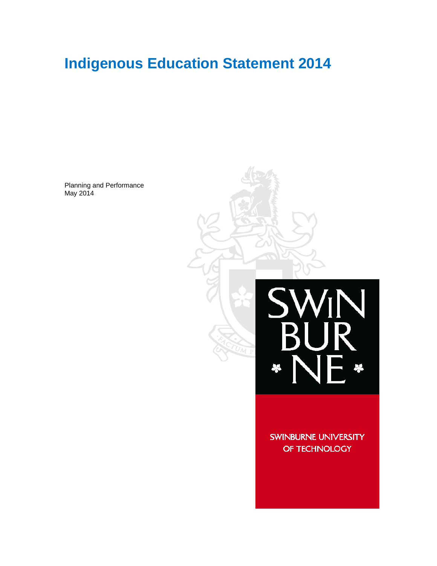# **Indigenous Education Statement 2014**

Planning and Performance May 2014



SWINBURNE UNIVERSITY OF TECHNOLOGY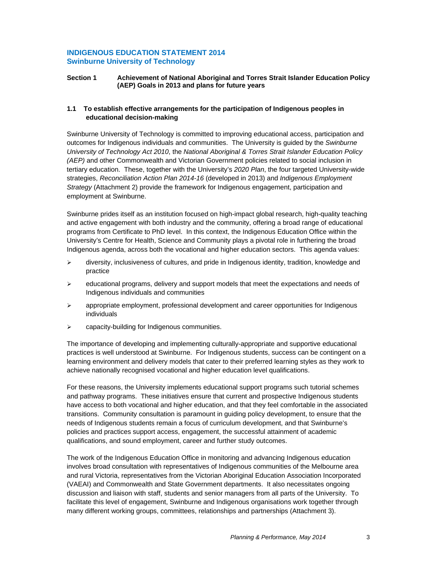#### **INDIGENOUS EDUCATION STATEMENT 2014 Swinburne University of Technology**

#### **Section 1 Achievement of National Aboriginal and Torres Strait Islander Education Policy (AEP) Goals in 2013 and plans for future years**

#### **1.1 To establish effective arrangements for the participation of Indigenous peoples in educational decision-making**

Swinburne University of Technology is committed to improving educational access, participation and outcomes for Indigenous individuals and communities. The University is guided by the *Swinburne University of Technology Act 2010*, the *National Aboriginal & Torres Strait Islander Education Policy (AEP)* and other Commonwealth and Victorian Government policies related to social inclusion in tertiary education. These, together with the University's *2020 Plan*, the four targeted University-wide strategies, *Reconciliation Action Plan 2014-16* (developed in 2013) and *Indigenous Employment Strategy* (Attachment 2) provide the framework for Indigenous engagement, participation and employment at Swinburne.

Swinburne prides itself as an institution focused on high-impact global research, high-quality teaching and active engagement with both industry and the community, offering a broad range of educational programs from Certificate to PhD level. In this context, the Indigenous Education Office within the University's Centre for Health, Science and Community plays a pivotal role in furthering the broad Indigenous agenda, across both the vocational and higher education sectors. This agenda values:

- $\triangleright$  diversity, inclusiveness of cultures, and pride in Indigenous identity, tradition, knowledge and practice
- $\triangleright$  educational programs, delivery and support models that meet the expectations and needs of Indigenous individuals and communities
- $\triangleright$  appropriate employment, professional development and career opportunities for Indigenous individuals
- capacity-building for Indigenous communities.

The importance of developing and implementing culturally-appropriate and supportive educational practices is well understood at Swinburne. For Indigenous students, success can be contingent on a learning environment and delivery models that cater to their preferred learning styles as they work to achieve nationally recognised vocational and higher education level qualifications.

For these reasons, the University implements educational support programs such tutorial schemes and pathway programs. These initiatives ensure that current and prospective Indigenous students have access to both vocational and higher education, and that they feel comfortable in the associated transitions. Community consultation is paramount in guiding policy development, to ensure that the needs of Indigenous students remain a focus of curriculum development, and that Swinburne's policies and practices support access, engagement, the successful attainment of academic qualifications, and sound employment, career and further study outcomes.

The work of the Indigenous Education Office in monitoring and advancing Indigenous education involves broad consultation with representatives of Indigenous communities of the Melbourne area and rural Victoria, representatives from the Victorian Aboriginal Education Association Incorporated (VAEAI) and Commonwealth and State Government departments. It also necessitates ongoing discussion and liaison with staff, students and senior managers from all parts of the University. To facilitate this level of engagement, Swinburne and Indigenous organisations work together through many different working groups, committees, relationships and partnerships (Attachment 3).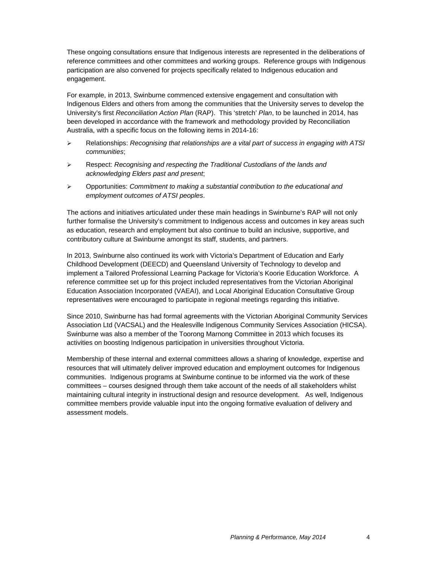These ongoing consultations ensure that Indigenous interests are represented in the deliberations of reference committees and other committees and working groups. Reference groups with Indigenous participation are also convened for projects specifically related to Indigenous education and engagement.

For example, in 2013, Swinburne commenced extensive engagement and consultation with Indigenous Elders and others from among the communities that the University serves to develop the University's first *Reconciliation Action Plan* (RAP). This 'stretch' *Plan*, to be launched in 2014, has been developed in accordance with the framework and methodology provided by Reconciliation Australia, with a specific focus on the following items in 2014-16:

- Relationships: *Recognising that relationships are a vital part of success in engaging with ATSI communities*;
- Respect: *Recognising and respecting the Traditional Custodians of the lands and acknowledging Elders past and present*;
- Opportunities: *Commitment to making a substantial contribution to the educational and employment outcomes of ATSI peoples*.

The actions and initiatives articulated under these main headings in Swinburne's RAP will not only further formalise the University's commitment to Indigenous access and outcomes in key areas such as education, research and employment but also continue to build an inclusive, supportive, and contributory culture at Swinburne amongst its staff, students, and partners.

In 2013, Swinburne also continued its work with Victoria's Department of Education and Early Childhood Development (DEECD) and Queensland University of Technology to develop and implement a Tailored Professional Learning Package for Victoria's Koorie Education Workforce. A reference committee set up for this project included representatives from the Victorian Aboriginal Education Association Incorporated (VAEAI), and Local Aboriginal Education Consultative Group representatives were encouraged to participate in regional meetings regarding this initiative.

Since 2010, Swinburne has had formal agreements with the Victorian Aboriginal Community Services Association Ltd (VACSAL) and the Healesville Indigenous Community Services Association (HICSA). Swinburne was also a member of the Toorong Marnong Committee in 2013 which focuses its activities on boosting Indigenous participation in universities throughout Victoria.

Membership of these internal and external committees allows a sharing of knowledge, expertise and resources that will ultimately deliver improved education and employment outcomes for Indigenous communities. Indigenous programs at Swinburne continue to be informed via the work of these committees – courses designed through them take account of the needs of all stakeholders whilst maintaining cultural integrity in instructional design and resource development. As well, Indigenous committee members provide valuable input into the ongoing formative evaluation of delivery and assessment models.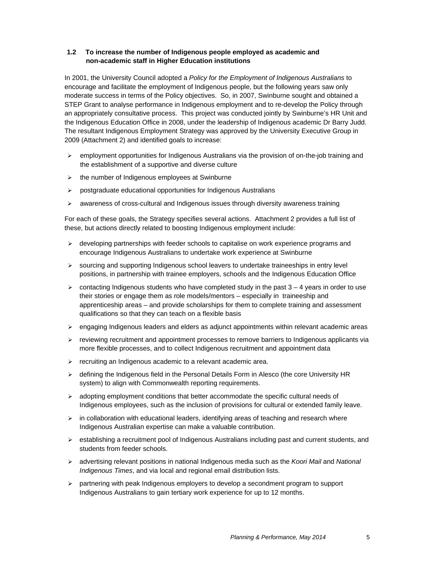#### **1.2 To increase the number of Indigenous people employed as academic and non-academic staff in Higher Education institutions**

In 2001, the University Council adopted a *Policy for the Employment of Indigenous Australians* to encourage and facilitate the employment of Indigenous people, but the following years saw only moderate success in terms of the Policy objectives. So, in 2007, Swinburne sought and obtained a STEP Grant to analyse performance in Indigenous employment and to re-develop the Policy through an appropriately consultative process. This project was conducted jointly by Swinburne's HR Unit and the Indigenous Education Office in 2008, under the leadership of Indigenous academic Dr Barry Judd. The resultant Indigenous Employment Strategy was approved by the University Executive Group in 2009 (Attachment 2) and identified goals to increase:

- $\triangleright$  employment opportunities for Indigenous Australians via the provision of on-the-job training and the establishment of a supportive and diverse culture
- $\triangleright$  the number of Indigenous employees at Swinburne
- $\triangleright$  postgraduate educational opportunities for Indigenous Australians
- $\triangleright$  awareness of cross-cultural and Indigenous issues through diversity awareness training

For each of these goals, the Strategy specifies several actions. Attachment 2 provides a full list of these, but actions directly related to boosting Indigenous employment include:

- $\triangleright$  developing partnerships with feeder schools to capitalise on work experience programs and encourage Indigenous Australians to undertake work experience at Swinburne
- $\triangleright$  sourcing and supporting Indigenous school leavers to undertake traineeships in entry level positions, in partnership with trainee employers, schools and the Indigenous Education Office
- $\geq$  contacting Indigenous students who have completed study in the past  $3 4$  years in order to use their stories or engage them as role models/mentors – especially in traineeship and apprenticeship areas – and provide scholarships for them to complete training and assessment qualifications so that they can teach on a flexible basis
- $\triangleright$  engaging Indigenous leaders and elders as adjunct appointments within relevant academic areas
- $\triangleright$  reviewing recruitment and appointment processes to remove barriers to Indigenous applicants via more flexible processes, and to collect Indigenous recruitment and appointment data
- $\triangleright$  recruiting an Indigenous academic to a relevant academic area.
- $\triangleright$  defining the Indigenous field in the Personal Details Form in Alesco (the core University HR system) to align with Commonwealth reporting requirements.
- $\triangleright$  adopting employment conditions that better accommodate the specific cultural needs of Indigenous employees, such as the inclusion of provisions for cultural or extended family leave.
- $\triangleright$  in collaboration with educational leaders, identifying areas of teaching and research where Indigenous Australian expertise can make a valuable contribution.
- $\triangleright$  establishing a recruitment pool of Indigenous Australians including past and current students, and students from feeder schools.
- advertising relevant positions in national Indigenous media such as the *Koori Mail* and *National Indigenous Times*, and via local and regional email distribution lists.
- $\triangleright$  partnering with peak Indigenous employers to develop a secondment program to support Indigenous Australians to gain tertiary work experience for up to 12 months.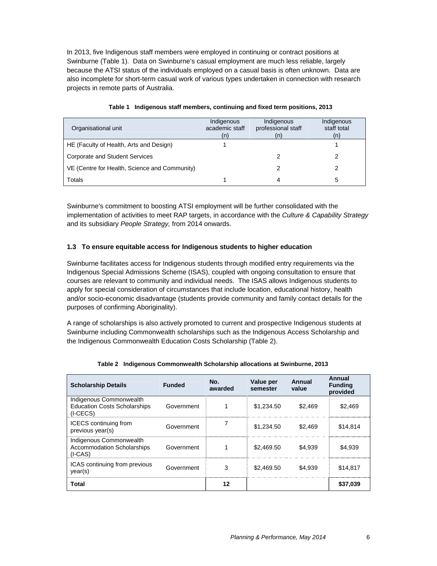In 2013, five Indigenous staff members were employed in continuing or contract positions at Swinburne (Table 1). Data on Swinburne's casual employment are much less reliable, largely because the ATSI status of the individuals employed on a casual basis is often unknown. Data are also incomplete for short-term casual work of various types undertaken in connection with research projects in remote parts of Australia.

| Organisational unit                           | Indigenous<br>academic staff<br>(n) | Indigenous<br>professional staff | Indigenous<br>staff total<br>(n) |
|-----------------------------------------------|-------------------------------------|----------------------------------|----------------------------------|
| HE (Faculty of Health, Arts and Design)       |                                     |                                  |                                  |
| <b>Corporate and Student Services</b>         |                                     |                                  |                                  |
| VE (Centre for Health, Science and Community) |                                     |                                  |                                  |
| Totals                                        |                                     | 4                                | 5                                |

|  | Table 1 Indigenous staff members, continuing and fixed term positions, 2013 |  |  |
|--|-----------------------------------------------------------------------------|--|--|
|--|-----------------------------------------------------------------------------|--|--|

Swinburne's commitment to boosting ATSI employment will be further consolidated with the implementation of activities to meet RAP targets, in accordance with the *Culture & Capability Strategy*  and its subsidiary *People Strategy,* from 2014 onwards.

#### **1.3 To ensure equitable access for Indigenous students to higher education**

Swinburne facilitates access for Indigenous students through modified entry requirements via the Indigenous Special Admissions Scheme (ISAS), coupled with ongoing consultation to ensure that courses are relevant to community and individual needs. The ISAS allows Indigenous students to apply for special consideration of circumstances that include location, educational history, health and/or socio-economic disadvantage (students provide community and family contact details for the purposes of confirming Aboriginality).

A range of scholarships is also actively promoted to current and prospective Indigenous students at Swinburne including Commonwealth scholarships such as the Indigenous Access Scholarship and the Indigenous Commonwealth Education Costs Scholarship (Table 2).

| <b>Scholarship Details</b>                                                   | <b>Funded</b> | No.<br>awarded | Value per<br>semester | Annual<br>value | Annual<br><b>Funding</b><br>provided |
|------------------------------------------------------------------------------|---------------|----------------|-----------------------|-----------------|--------------------------------------|
| Indigenous Commonwealth<br><b>Education Costs Scholarships</b><br>$(I-CECS)$ | Government    |                | \$1,234.50            | \$2.469         | \$2.469                              |
| <b>ICECS</b> continuing from<br>previous year(s)                             | Government    |                | \$1,234.50            | \$2,469         | \$14.814                             |
| Indigenous Commonwealth<br><b>Accommodation Scholarships</b><br>$(I-CAS)$    | Government    |                | \$2,469.50            | \$4.939         | \$4.939                              |
| ICAS continuing from previous<br>year(s)                                     | Government    | 3              | \$2,469.50            | \$4.939         | \$14.817                             |
| <b>Total</b>                                                                 |               | 12             |                       |                 | \$37,039                             |

**Table 2 Indigenous Commonwealth Scholarship allocations at Swinburne, 2013**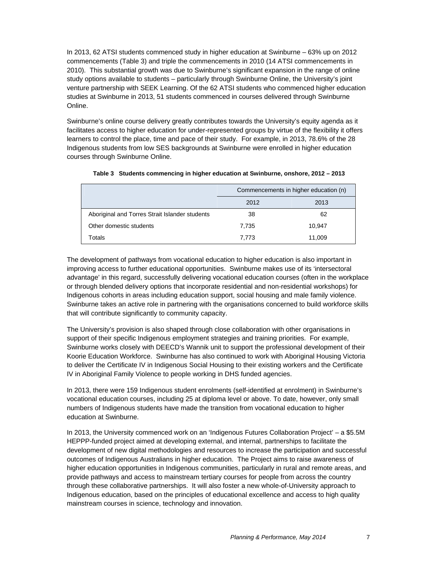In 2013, 62 ATSI students commenced study in higher education at Swinburne – 63% up on 2012 commencements (Table 3) and triple the commencements in 2010 (14 ATSI commencements in 2010). This substantial growth was due to Swinburne's significant expansion in the range of online study options available to students – particularly through Swinburne Online, the University's joint venture partnership with SEEK Learning. Of the 62 ATSI students who commenced higher education studies at Swinburne in 2013, 51 students commenced in courses delivered through Swinburne Online.

Swinburne's online course delivery greatly contributes towards the University's equity agenda as it facilitates access to higher education for under-represented groups by virtue of the flexibility it offers learners to control the place, time and pace of their study. For example, in 2013, 78.6% of the 28 Indigenous students from low SES backgrounds at Swinburne were enrolled in higher education courses through Swinburne Online.

|                                                | Commencements in higher education (n) |        |  |  |
|------------------------------------------------|---------------------------------------|--------|--|--|
|                                                | 2012                                  | 2013   |  |  |
| Aboriginal and Torres Strait Islander students | 38                                    | 62     |  |  |
| Other domestic students                        | 7.735                                 | 10,947 |  |  |
| Totals                                         | 7.773                                 | 11.009 |  |  |

| Table 3 Students commencing in higher education at Swinburne, onshore, 2012 – 2013 |  |
|------------------------------------------------------------------------------------|--|
|                                                                                    |  |

The development of pathways from vocational education to higher education is also important in improving access to further educational opportunities. Swinburne makes use of its 'intersectoral advantage' in this regard, successfully delivering vocational education courses (often in the workplace or through blended delivery options that incorporate residential and non-residential workshops) for Indigenous cohorts in areas including education support, social housing and male family violence. Swinburne takes an active role in partnering with the organisations concerned to build workforce skills that will contribute significantly to community capacity.

The University's provision is also shaped through close collaboration with other organisations in support of their specific Indigenous employment strategies and training priorities. For example, Swinburne works closely with DEECD's Wannik unit to support the professional development of their Koorie Education Workforce. Swinburne has also continued to work with Aboriginal Housing Victoria to deliver the Certificate IV in Indigenous Social Housing to their existing workers and the Certificate IV in Aboriginal Family Violence to people working in DHS funded agencies.

In 2013, there were 159 Indigenous student enrolments (self-identified at enrolment) in Swinburne's vocational education courses, including 25 at diploma level or above. To date, however, only small numbers of Indigenous students have made the transition from vocational education to higher education at Swinburne.

In 2013, the University commenced work on an 'Indigenous Futures Collaboration Project' – a \$5.5M HEPPP-funded project aimed at developing external, and internal, partnerships to facilitate the development of new digital methodologies and resources to increase the participation and successful outcomes of Indigenous Australians in higher education. The Project aims to raise awareness of higher education opportunities in Indigenous communities, particularly in rural and remote areas, and provide pathways and access to mainstream tertiary courses for people from across the country through these collaborative partnerships. It will also foster a new whole-of-University approach to Indigenous education, based on the principles of educational excellence and access to high quality mainstream courses in science, technology and innovation.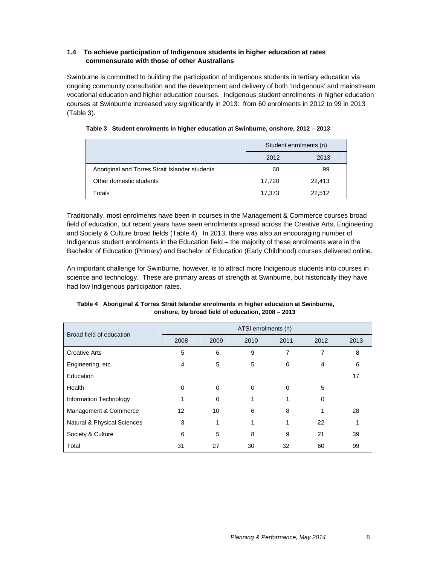#### **1.4 To achieve participation of Indigenous students in higher education at rates commensurate with those of other Australians**

Swinburne is committed to building the participation of Indigenous students in tertiary education via ongoing community consultation and the development and delivery of both 'Indigenous' and mainstream vocational education and higher education courses. Indigenous student enrolments in higher education courses at Swinburne increased very significantly in 2013: from 60 enrolments in 2012 to 99 in 2013 (Table 3).

|                                                | Student enrolments (n) |        |  |  |
|------------------------------------------------|------------------------|--------|--|--|
|                                                | 2012                   | 2013   |  |  |
| Aboriginal and Torres Strait Islander students | 60                     | 99     |  |  |
| Other domestic students                        | 17,720                 | 22,413 |  |  |
| Totals                                         | 17,373                 | 22,512 |  |  |

**Table 3 Student enrolments in higher education at Swinburne, onshore, 2012 – 2013** 

Traditionally, most enrolments have been in courses in the Management & Commerce courses broad field of education, but recent years have seen enrolments spread across the Creative Arts, Engineering and Society & Culture broad fields (Table 4). In 2013, there was also an encouraging number of Indigenous student enrolments in the Education field – the majority of these enrolments were in the Bachelor of Education (Primary) and Bachelor of Education (Early Childhood) courses delivered online.

An important challenge for Swinburne, however, is to attract more Indigenous students into courses in science and technology. These are primary areas of strength at Swinburne, but historically they have had low Indigenous participation rates.

| Broad field of education    | ATSI enrolments (n) |          |      |          |          |      |
|-----------------------------|---------------------|----------|------|----------|----------|------|
|                             | 2008                | 2009     | 2010 | 2011     | 2012     | 2013 |
| <b>Creative Arts</b>        | 5                   | 6        | 9    | 7        | 7        | 8    |
| Engineering, etc.           | 4                   | 5        | 5    | 6        | 4        | 6    |
| Education                   |                     |          |      |          |          | 17   |
| Health                      | $\Omega$            | $\Omega$ | 0    | $\Omega$ | 5        |      |
| Information Technology      |                     | $\Omega$ |      |          | $\Omega$ |      |
| Management & Commerce       | 12                  | 10       | 6    | 8        |          | 28   |
| Natural & Physical Sciences | 3                   |          |      | 1        | 22       |      |
| Society & Culture           | 6                   | 5        | 8    | 9        | 21       | 39   |
| Total                       | 31                  | 27       | 30   | 32       | 60       | 99   |

#### **Table 4 Aboriginal & Torres Strait Islander enrolments in higher education at Swinburne, onshore, by broad field of education, 2008 – 2013**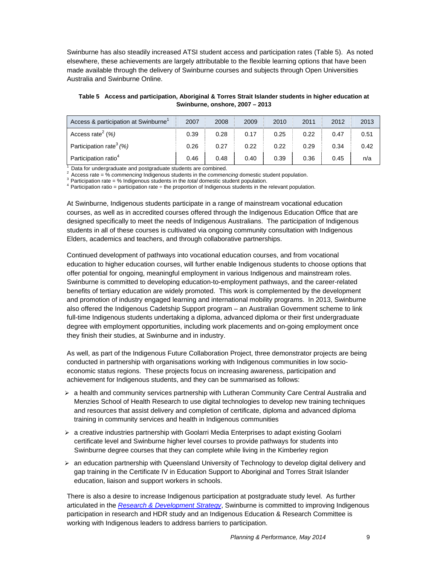Swinburne has also steadily increased ATSI student access and participation rates (Table 5). As noted elsewhere, these achievements are largely attributable to the flexible learning options that have been made available through the delivery of Swinburne courses and subjects through Open Universities Australia and Swinburne Online.

**Table 5 Access and participation, Aboriginal & Torres Strait Islander students in higher education at Swinburne, onshore, 2007 – 2013**

| Access & participation at Swinburne <sup>1</sup> | 2007 | 2008 | 2009 | 2010 | 2011 | 2012 | 2013 |
|--------------------------------------------------|------|------|------|------|------|------|------|
| Access rate <sup>2</sup> $(\%)$                  | 0.39 | 0.28 | 0.17 | 0.25 | 0.22 | 0.47 | 0.51 |
| Participation rate <sup>3</sup> (%)              | 0.26 | 0.27 | 0.22 | 0.22 | 0.29 | 0.34 | 0.42 |
| Participation ratio <sup>4</sup>                 | 0.46 | 0.48 | 0.40 | 0.39 | 0.36 | 0.45 | n/a  |

Data for undergraduate and postgraduate students are combined.

<sup>2</sup> Access rate = % commencing Indigenous students in the commencing domestic student population.<br><sup>3</sup> Participation rate = % Indigenous students in the *total* domestic student population.<br><sup>4</sup> Participation ratio = partic

At Swinburne, Indigenous students participate in a range of mainstream vocational education courses, as well as in accredited courses offered through the Indigenous Education Office that are designed specifically to meet the needs of Indigenous Australians. The participation of Indigenous students in all of these courses is cultivated via ongoing community consultation with Indigenous Elders, academics and teachers, and through collaborative partnerships.

Continued development of pathways into vocational education courses, and from vocational education to higher education courses, will further enable Indigenous students to choose options that offer potential for ongoing, meaningful employment in various Indigenous and mainstream roles. Swinburne is committed to developing education-to-employment pathways, and the career-related benefits of tertiary education are widely promoted. This work is complemented by the development and promotion of industry engaged learning and international mobility programs. In 2013, Swinburne also offered the Indigenous Cadetship Support program – an Australian Government scheme to link full-time Indigenous students undertaking a diploma, advanced diploma or their first undergraduate degree with employment opportunities, including work placements and on-going employment once they finish their studies, at Swinburne and in industry.

As well, as part of the Indigenous Future Collaboration Project, three demonstrator projects are being conducted in partnership with organisations working with Indigenous communities in low socioeconomic status regions. These projects focus on increasing awareness, participation and achievement for Indigenous students, and they can be summarised as follows:

- $\triangleright$  a health and community services partnership with Lutheran Community Care Central Australia and Menzies School of Health Research to use digital technologies to develop new training techniques and resources that assist delivery and completion of certificate, diploma and advanced diploma training in community services and health in Indigenous communities
- $\triangleright$  a creative industries partnership with Goolarri Media Enterprises to adapt existing Goolarri certificate level and Swinburne higher level courses to provide pathways for students into Swinburne degree courses that they can complete while living in the Kimberley region
- $\triangleright$  an education partnership with Queensland University of Technology to develop digital delivery and gap training in the Certificate IV in Education Support to Aboriginal and Torres Strait Islander education, liaison and support workers in schools.

There is also a desire to increase Indigenous participation at postgraduate study level. As further articulated in the *Research & Development Strategy*, Swinburne is committed to improving Indigenous participation in research and HDR study and an Indigenous Education & Research Committee is working with Indigenous leaders to address barriers to participation.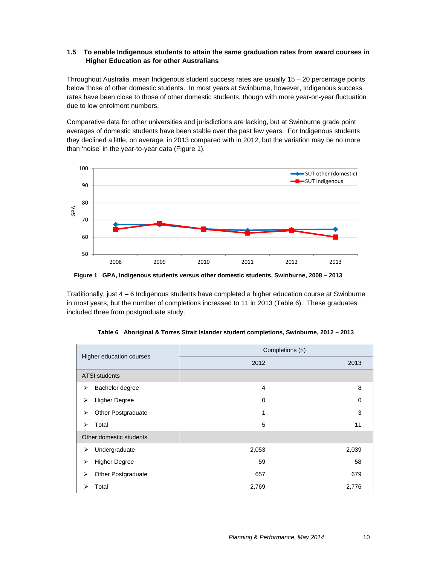#### **1.5 To enable Indigenous students to attain the same graduation rates from award courses in Higher Education as for other Australians**

Throughout Australia, mean Indigenous student success rates are usually 15 – 20 percentage points below those of other domestic students. In most years at Swinburne, however, Indigenous success rates have been close to those of other domestic students, though with more year-on-year fluctuation due to low enrolment numbers.

Comparative data for other universities and jurisdictions are lacking, but at Swinburne grade point averages of domestic students have been stable over the past few years. For Indigenous students they declined a little, on average, in 2013 compared with in 2012, but the variation may be no more than 'noise' in the year-to-year data (Figure 1).



**Figure 1 GPA, Indigenous students versus other domestic students, Swinburne, 2008 – 2013**

Traditionally, just 4 – 6 Indigenous students have completed a higher education course at Swinburne in most years, but the number of completions increased to 11 in 2013 (Table 6). These graduates included three from postgraduate study.

|                                               | Completions (n) |             |  |  |  |
|-----------------------------------------------|-----------------|-------------|--|--|--|
| Higher education courses                      | 2012            | 2013        |  |  |  |
| <b>ATSI students</b>                          |                 |             |  |  |  |
| Bachelor degree<br>⋗                          | 4               | 8           |  |  |  |
| <b>Higher Degree</b><br>$\blacktriangleright$ | 0               | $\mathbf 0$ |  |  |  |
| Other Postgraduate<br>⋗                       | 1               | 3           |  |  |  |
| Total<br>⋗                                    | 5               | 11          |  |  |  |
| Other domestic students                       |                 |             |  |  |  |
| Undergraduate<br>≻                            | 2,053           | 2,039       |  |  |  |
| <b>Higher Degree</b><br>⋗                     | 59              | 58          |  |  |  |
| Other Postgraduate<br>⋗                       | 657             | 679         |  |  |  |
| Total<br>⋗                                    | 2,769           | 2,776       |  |  |  |

| Table 6 Aboriginal & Torres Strait Islander student completions, Swinburne, 2012 - 2013 |  |  |
|-----------------------------------------------------------------------------------------|--|--|
|                                                                                         |  |  |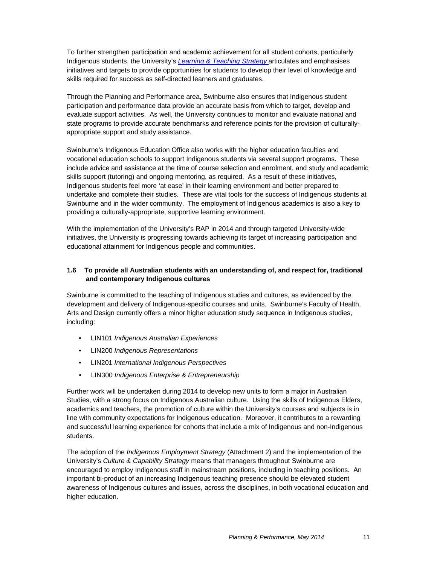To further strengthen participation and academic achievement for all student cohorts, particularly Indigenous students, the University's *Learning & Teaching Strategy* articulates and emphasises initiatives and targets to provide opportunities for students to develop their level of knowledge and skills required for success as self-directed learners and graduates.

Through the Planning and Performance area, Swinburne also ensures that Indigenous student participation and performance data provide an accurate basis from which to target, develop and evaluate support activities. As well, the University continues to monitor and evaluate national and state programs to provide accurate benchmarks and reference points for the provision of culturallyappropriate support and study assistance.

Swinburne's Indigenous Education Office also works with the higher education faculties and vocational education schools to support Indigenous students via several support programs. These include advice and assistance at the time of course selection and enrolment, and study and academic skills support (tutoring) and ongoing mentoring, as required. As a result of these initiatives, Indigenous students feel more 'at ease' in their learning environment and better prepared to undertake and complete their studies. These are vital tools for the success of Indigenous students at Swinburne and in the wider community. The employment of Indigenous academics is also a key to providing a culturally-appropriate, supportive learning environment.

With the implementation of the University's RAP in 2014 and through targeted University-wide initiatives, the University is progressing towards achieving its target of increasing participation and educational attainment for Indigenous people and communities.

#### **1.6 To provide all Australian students with an understanding of, and respect for, traditional and contemporary Indigenous cultures**

Swinburne is committed to the teaching of Indigenous studies and cultures, as evidenced by the development and delivery of Indigenous-specific courses and units. Swinburne's Faculty of Health, Arts and Design currently offers a minor higher education study sequence in Indigenous studies, including:

- LIN101 *Indigenous Australian Experiences*
- LIN200 *Indigenous Representations*
- LIN201 *International Indigenous Perspectives*
- LIN300 *Indigenous Enterprise & Entrepreneurship*

Further work will be undertaken during 2014 to develop new units to form a major in Australian Studies, with a strong focus on Indigenous Australian culture. Using the skills of Indigenous Elders, academics and teachers, the promotion of culture within the University's courses and subjects is in line with community expectations for Indigenous education. Moreover, it contributes to a rewarding and successful learning experience for cohorts that include a mix of Indigenous and non-Indigenous students.

The adoption of the *Indigenous Employment Strategy* (Attachment 2) and the implementation of the University's *Culture & Capability Strategy* means that managers throughout Swinburne are encouraged to employ Indigenous staff in mainstream positions, including in teaching positions. An important bi-product of an increasing Indigenous teaching presence should be elevated student awareness of Indigenous cultures and issues, across the disciplines, in both vocational education and higher education.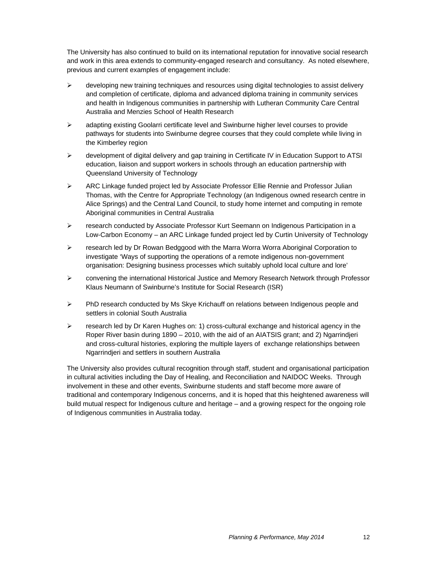The University has also continued to build on its international reputation for innovative social research and work in this area extends to community-engaged research and consultancy. As noted elsewhere, previous and current examples of engagement include:

- $\triangleright$  developing new training techniques and resources using digital technologies to assist delivery and completion of certificate, diploma and advanced diploma training in community services and health in Indigenous communities in partnership with Lutheran Community Care Central Australia and Menzies School of Health Research
- $\triangleright$  adapting existing Goolarri certificate level and Swinburne higher level courses to provide pathways for students into Swinburne degree courses that they could complete while living in the Kimberley region
- $\triangleright$  development of digital delivery and gap training in Certificate IV in Education Support to ATSI education, liaison and support workers in schools through an education partnership with Queensland University of Technology
- $\triangleright$  ARC Linkage funded project led by Associate Professor Ellie Rennie and Professor Julian Thomas, with the Centre for Appropriate Technology (an Indigenous owned research centre in Alice Springs) and the Central Land Council, to study home internet and computing in remote Aboriginal communities in Central Australia
- research conducted by Associate Professor Kurt Seemann on Indigenous Participation in a Low-Carbon Economy – an ARC Linkage funded project led by Curtin University of Technology
- $\triangleright$  research led by Dr Rowan Bedggood with the Marra Worra Worra Aboriginal Corporation to investigate 'Ways of supporting the operations of a remote indigenous non-government organisation: Designing business processes which suitably uphold local culture and lore'
- convening the international Historical Justice and Memory Research Network through Professor Klaus Neumann of Swinburne's Institute for Social Research (ISR)
- $\triangleright$  PhD research conducted by Ms Skye Krichauff on relations between Indigenous people and settlers in colonial South Australia
- $\triangleright$  research led by Dr Karen Hughes on: 1) cross-cultural exchange and historical agency in the Roper River basin during 1890 – 2010, with the aid of an AIATSIS grant; and 2) Ngarrindjeri and cross-cultural histories, exploring the multiple layers of exchange relationships between Ngarrindjeri and settlers in southern Australia

The University also provides cultural recognition through staff, student and organisational participation in cultural activities including the Day of Healing, and Reconciliation and NAIDOC Weeks. Through involvement in these and other events, Swinburne students and staff become more aware of traditional and contemporary Indigenous concerns, and it is hoped that this heightened awareness will build mutual respect for Indigenous culture and heritage – and a growing respect for the ongoing role of Indigenous communities in Australia today.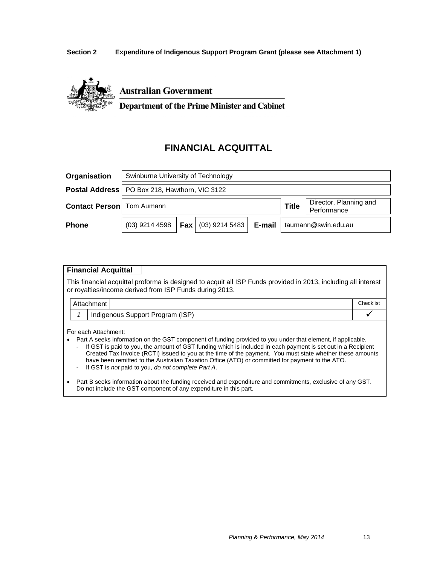#### **Section 2 Expenditure of Indigenous Support Program Grant (please see Attachment 1)**



**Australian Government** 

**Department of the Prime Minister and Cabinet** 

# **FINANCIAL ACQUITTAL**

| Organisation                       | Swinburne University of Technology                     |         |                  |        |                     |                                       |  |
|------------------------------------|--------------------------------------------------------|---------|------------------|--------|---------------------|---------------------------------------|--|
|                                    | <b>Postal Address</b>   PO Box 218, Hawthorn, VIC 3122 |         |                  |        |                     |                                       |  |
| <b>Contact Person</b>   Tom Aumann |                                                        |         |                  |        | <b>Title</b>        | Director, Planning and<br>Performance |  |
| <b>Phone</b>                       | $(03)$ 9214 4598                                       | ∣ Fax I | $(03)$ 9214 5483 | E-mail | taumann@swin.edu.au |                                       |  |

#### **Financial Acquittal**

This financial acquittal proforma is designed to acquit all ISP Funds provided in 2013, including all interest or royalties/income derived from ISP Funds during 2013.

|  | Attachment |                                  | Checklist |
|--|------------|----------------------------------|-----------|
|  |            | Indigenous Support Program (ISP) |           |

For each Attachment:

- Part A seeks information on the GST component of funding provided to you under that element, if applicable.
	- If GST is paid to you, the amount of GST funding which is included in each payment is set out in a Recipient Created Tax Invoice (RCTI) issued to you at the time of the payment. You must state whether these amounts have been remitted to the Australian Taxation Office (ATO) or committed for payment to the ATO.
	- If GST is *not* paid to you, *do not complete Part A*.
- Part B seeks information about the funding received and expenditure and commitments, exclusive of any GST. Do not include the GST component of any expenditure in this part.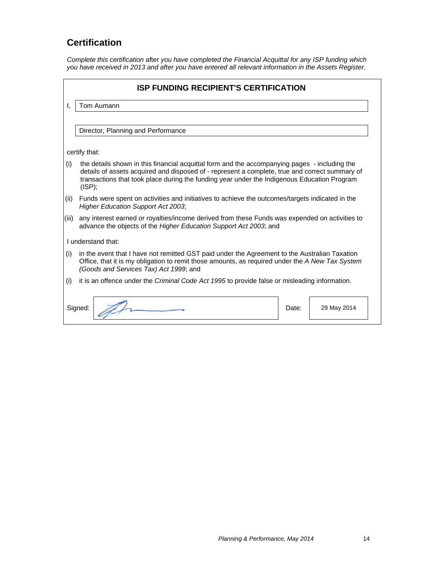# **Certification**

*Complete this certification* after *you have completed the Financial Acquittal for any ISP funding which*  you have received in 2013 and after you have entered all relevant information in the Assets Register.

|       | <b>ISP FUNDING RECIPIENT'S CERTIFICATION</b>                                                                                                                                                                                                                                                             |
|-------|----------------------------------------------------------------------------------------------------------------------------------------------------------------------------------------------------------------------------------------------------------------------------------------------------------|
| Ι.    | Tom Aumann                                                                                                                                                                                                                                                                                               |
|       |                                                                                                                                                                                                                                                                                                          |
|       | Director, Planning and Performance                                                                                                                                                                                                                                                                       |
|       | certify that:                                                                                                                                                                                                                                                                                            |
| (i)   | the details shown in this financial acquittal form and the accompanying pages - including the<br>details of assets acquired and disposed of - represent a complete, true and correct summary of<br>transactions that took place during the funding year under the Indigenous Education Program<br>(ISP); |
| (ii)  | Funds were spent on activities and initiatives to achieve the outcomes/targets indicated in the<br><b>Higher Education Support Act 2003;</b>                                                                                                                                                             |
| (iii) | any interest earned or royalties/income derived from these Funds was expended on activities to<br>advance the objects of the Higher Education Support Act 2003; and                                                                                                                                      |
|       | Lunderstand that:                                                                                                                                                                                                                                                                                        |
| (i)   | in the event that I have not remitted GST paid under the Agreement to the Australian Taxation<br>Office, that it is my obligation to remit those amounts, as required under the A New Tax System<br>(Goods and Services Tax) Act 1999; and                                                               |
| (i)   | it is an offence under the Criminal Code Act 1995 to provide false or misleading information.                                                                                                                                                                                                            |
|       |                                                                                                                                                                                                                                                                                                          |

| Signed: | Date: | 29 May 2014 |
|---------|-------|-------------|
|         |       |             |
|         |       |             |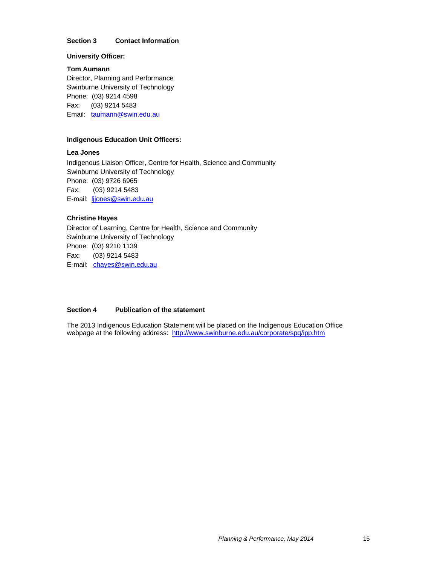#### **Section 3 Contact Information**

#### **University Officer:**

**Tom Aumann**  Director, Planning and Performance Swinburne University of Technology Phone: (03) 9214 4598 Fax: (03) 9214 5483 Email: taumann@swin.edu.au

#### **Indigenous Education Unit Officers:**

#### **Lea Jones**

Indigenous Liaison Officer, Centre for Health, Science and Community Swinburne University of Technology Phone: (03) 9726 6965 Fax: (03) 9214 5483 E-mail: ljjones@swin.edu.au

#### **Christine Hayes**

Director of Learning, Centre for Health, Science and Community Swinburne University of Technology Phone: (03) 9210 1139 Fax: (03) 9214 5483 E-mail: chayes@swin.edu.au

#### **Section 4 Publication of the statement**

The 2013 Indigenous Education Statement will be placed on the Indigenous Education Office webpage at the following address: http://www.swinburne.edu.au/corporate/spq/ipp.htm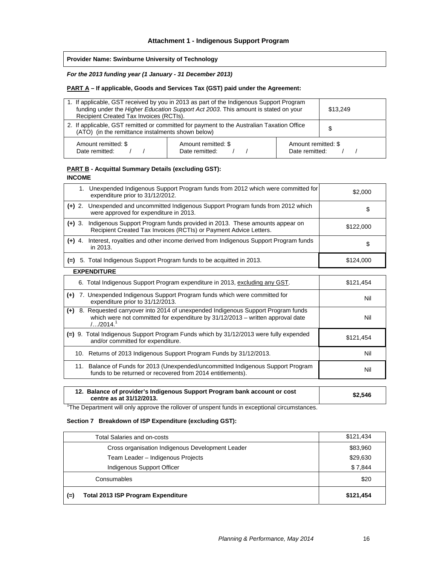**Provider Name: Swinburne University of Technology** 

*For the 2013 funding year (1 January - 31 December 2013)* 

#### **PART A – If applicable, Goods and Services Tax (GST) paid under the Agreement:**

| 1. If applicable, GST received by you in 2013 as part of the Indigenous Support Program<br>funding under the Higher Education Support Act 2003. This amount is stated on your<br>Recipient Created Tax Invoices (RCTIs). |                                       | \$13,249                              |  |
|--------------------------------------------------------------------------------------------------------------------------------------------------------------------------------------------------------------------------|---------------------------------------|---------------------------------------|--|
| 2. If applicable, GST remitted or committed for payment to the Australian Taxation Office<br>(ATO) (in the remittance instalments shown below)                                                                           |                                       | S                                     |  |
| Amount remitted: \$<br>Date remitted:                                                                                                                                                                                    | Amount remitted: \$<br>Date remitted: | Amount remitted: \$<br>Date remitted: |  |

#### **PART B - Acquittal Summary Details (excluding GST): INCOME**

| 1. Unexpended Indigenous Support Program funds from 2012 which were committed for<br>expenditure prior to 31/12/2012.                                                                            | \$2,000   |
|--------------------------------------------------------------------------------------------------------------------------------------------------------------------------------------------------|-----------|
| (+) 2. Unexpended and uncommitted Indigenous Support Program funds from 2012 which<br>were approved for expenditure in 2013.                                                                     | \$        |
| Indigenous Support Program funds provided in 2013. These amounts appear on<br>$(+)$ 3.<br>Recipient Created Tax Invoices (RCTIs) or Payment Advice Letters.                                      | \$122,000 |
| Interest, royalties and other income derived from Indigenous Support Program funds<br>$(+)$ 4.<br>in 2013.                                                                                       | \$        |
| $(=)$ 5. Total Indigenous Support Program funds to be acquitted in 2013.                                                                                                                         | \$124,000 |
| <b>EXPENDITURE</b>                                                                                                                                                                               |           |
| 6. Total Indigenous Support Program expenditure in 2013, excluding any GST.                                                                                                                      | \$121,454 |
| $(+)$ 7. Unexpended Indigenous Support Program funds which were committed for<br>expenditure prior to 31/12/2013.                                                                                | Nil       |
| (+) 8. Requested carryover into 2014 of unexpended Indigenous Support Program funds<br>which were not committed for expenditure by 31/12/2013 - written approval date<br>$/$ /2014. <sup>1</sup> | Nil       |
| (=) 9. Total Indigenous Support Program Funds which by 31/12/2013 were fully expended<br>and/or committed for expenditure.                                                                       | \$121,454 |
| 10. Returns of 2013 Indigenous Support Program Funds by 31/12/2013.                                                                                                                              | Nil       |
| 11. Balance of Funds for 2013 (Unexpended/uncommitted Indigenous Support Program<br>funds to be returned or recovered from 2014 entitlements).                                                   | Nil       |

| 12. Balance of provider's Indigenous Support Program bank account or cost<br>centre as at 31/12/2013. | \$2,546 |
|-------------------------------------------------------------------------------------------------------|---------|
|                                                                                                       |         |

<sup>1</sup>The Department will only approve the rollover of unspent funds in exceptional circumstances.

#### **Section 7 Breakdown of ISP Expenditure (excluding GST):**

| Total Salaries and on-costs                        | \$121,434 |
|----------------------------------------------------|-----------|
| Cross organisation Indigenous Development Leader   | \$83,960  |
| Team Leader - Indigenous Projects                  | \$29,630  |
| Indigenous Support Officer                         | \$7,844   |
| Consumables                                        | \$20      |
| <b>Total 2013 ISP Program Expenditure</b><br>$(=)$ | \$121,454 |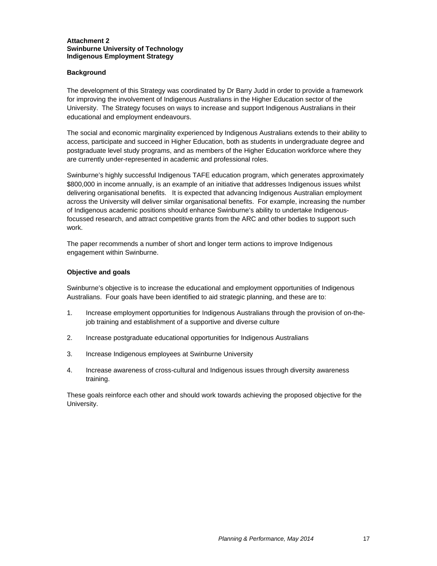#### **Attachment 2 Swinburne University of Technology Indigenous Employment Strategy**

#### **Background**

The development of this Strategy was coordinated by Dr Barry Judd in order to provide a framework for improving the involvement of Indigenous Australians in the Higher Education sector of the University. The Strategy focuses on ways to increase and support Indigenous Australians in their educational and employment endeavours.

The social and economic marginality experienced by Indigenous Australians extends to their ability to access, participate and succeed in Higher Education, both as students in undergraduate degree and postgraduate level study programs, and as members of the Higher Education workforce where they are currently under-represented in academic and professional roles.

Swinburne's highly successful Indigenous TAFE education program, which generates approximately \$800,000 in income annually, is an example of an initiative that addresses Indigenous issues whilst delivering organisational benefits. It is expected that advancing Indigenous Australian employment across the University will deliver similar organisational benefits. For example, increasing the number of Indigenous academic positions should enhance Swinburne's ability to undertake Indigenousfocussed research, and attract competitive grants from the ARC and other bodies to support such work.

The paper recommends a number of short and longer term actions to improve Indigenous engagement within Swinburne.

#### **Objective and goals**

Swinburne's objective is to increase the educational and employment opportunities of Indigenous Australians. Four goals have been identified to aid strategic planning, and these are to:

- 1. Increase employment opportunities for Indigenous Australians through the provision of on-thejob training and establishment of a supportive and diverse culture
- 2. Increase postgraduate educational opportunities for Indigenous Australians
- 3. Increase Indigenous employees at Swinburne University
- 4. Increase awareness of cross-cultural and Indigenous issues through diversity awareness training.

These goals reinforce each other and should work towards achieving the proposed objective for the University.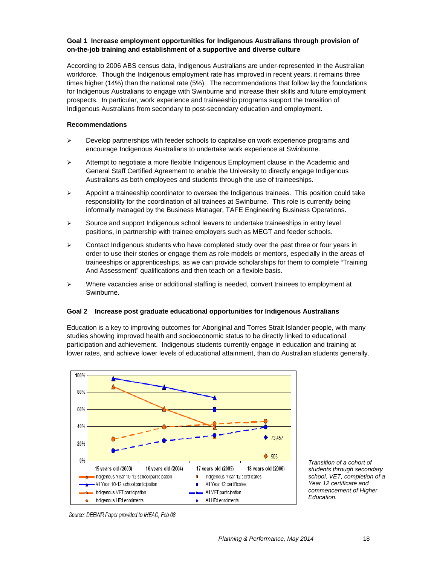#### **Goal 1 Increase employment opportunities for Indigenous Australians through provision of on-the-job training and establishment of a supportive and diverse culture**

According to 2006 ABS census data, Indigenous Australians are under-represented in the Australian workforce. Though the Indigenous employment rate has improved in recent years, it remains three times higher (14%) than the national rate (5%). The recommendations that follow lay the foundations for Indigenous Australians to engage with Swinburne and increase their skills and future employment prospects. In particular, work experience and traineeship programs support the transition of Indigenous Australians from secondary to post-secondary education and employment.

#### **Recommendations**

- $\triangleright$  Develop partnerships with feeder schools to capitalise on work experience programs and encourage Indigenous Australians to undertake work experience at Swinburne.
- $\triangleright$  Attempt to negotiate a more flexible Indigenous Employment clause in the Academic and General Staff Certified Agreement to enable the University to directly engage Indigenous Australians as both employees and students through the use of traineeships.
- $\triangleright$  Appoint a traineeship coordinator to oversee the Indigenous trainees. This position could take responsibility for the coordination of all trainees at Swinburne. This role is currently being informally managed by the Business Manager, TAFE Engineering Business Operations.
- $\triangleright$  Source and support Indigenous school leavers to undertake traineeships in entry level positions, in partnership with trainee employers such as MEGT and feeder schools.
- $\triangleright$  Contact Indigenous students who have completed study over the past three or four years in order to use their stories or engage them as role models or mentors, especially in the areas of traineeships or apprenticeships, as we can provide scholarships for them to complete "Training And Assessment" qualifications and then teach on a flexible basis.
- $\triangleright$  Where vacancies arise or additional staffing is needed, convert trainees to employment at Swinburne.

#### **Goal 2 Increase post graduate educational opportunities for Indigenous Australians**

Education is a key to improving outcomes for Aboriginal and Torres Strait Islander people, with many studies showing improved health and socioeconomic status to be directly linked to educational participation and achievement. Indigenous students currently engage in education and training at lower rates, and achieve lower levels of educational attainment, than do Australian students generally.



*Transition of a cohort of students through secondary school, VET, completion of a Year 12 certificate and commencement of Higher Education.* 

Source: DEEWR Paper provided to IHEAC, Feb 08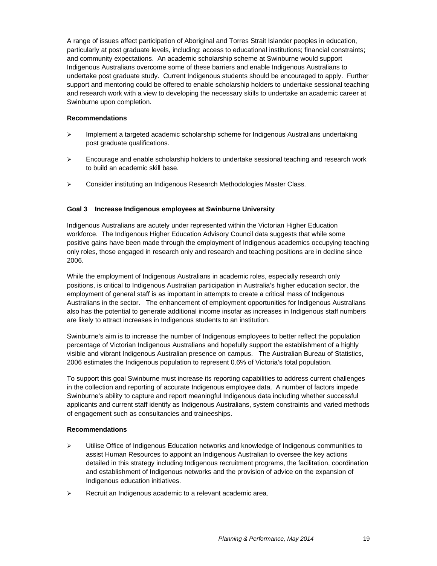A range of issues affect participation of Aboriginal and Torres Strait Islander peoples in education, particularly at post graduate levels, including: access to educational institutions; financial constraints; and community expectations. An academic scholarship scheme at Swinburne would support Indigenous Australians overcome some of these barriers and enable Indigenous Australians to undertake post graduate study. Current Indigenous students should be encouraged to apply. Further support and mentoring could be offered to enable scholarship holders to undertake sessional teaching and research work with a view to developing the necessary skills to undertake an academic career at Swinburne upon completion.

#### **Recommendations**

- $\triangleright$  Implement a targeted academic scholarship scheme for Indigenous Australians undertaking post graduate qualifications.
- $\triangleright$  Encourage and enable scholarship holders to undertake sessional teaching and research work to build an academic skill base.
- Consider instituting an Indigenous Research Methodologies Master Class.

#### **Goal 3 Increase Indigenous employees at Swinburne University**

Indigenous Australians are acutely under represented within the Victorian Higher Education workforce. The Indigenous Higher Education Advisory Council data suggests that while some positive gains have been made through the employment of Indigenous academics occupying teaching only roles, those engaged in research only and research and teaching positions are in decline since 2006.

While the employment of Indigenous Australians in academic roles, especially research only positions, is critical to Indigenous Australian participation in Australia's higher education sector, the employment of general staff is as important in attempts to create a critical mass of Indigenous Australians in the sector. The enhancement of employment opportunities for Indigenous Australians also has the potential to generate additional income insofar as increases in Indigenous staff numbers are likely to attract increases in Indigenous students to an institution.

Swinburne's aim is to increase the number of Indigenous employees to better reflect the population percentage of Victorian Indigenous Australians and hopefully support the establishment of a highly visible and vibrant Indigenous Australian presence on campus. The Australian Bureau of Statistics, 2006 estimates the Indigenous population to represent 0.6% of Victoria's total population.

To support this goal Swinburne must increase its reporting capabilities to address current challenges in the collection and reporting of accurate Indigenous employee data. A number of factors impede Swinburne's ability to capture and report meaningful Indigenous data including whether successful applicants and current staff identify as Indigenous Australians, system constraints and varied methods of engagement such as consultancies and traineeships.

#### **Recommendations**

- $\triangleright$  Utilise Office of Indigenous Education networks and knowledge of Indigenous communities to assist Human Resources to appoint an Indigenous Australian to oversee the key actions detailed in this strategy including Indigenous recruitment programs, the facilitation, coordination and establishment of Indigenous networks and the provision of advice on the expansion of Indigenous education initiatives.
- $\triangleright$  Recruit an Indigenous academic to a relevant academic area.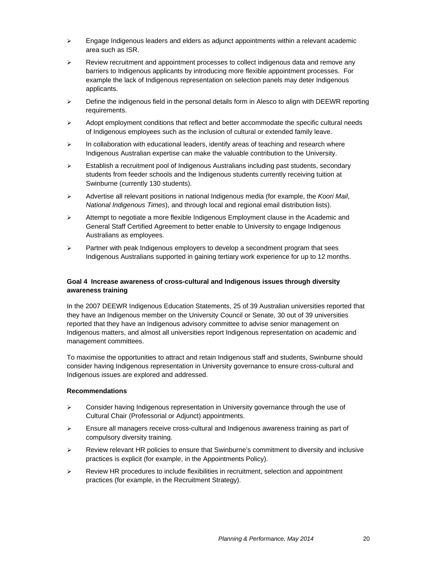- $\triangleright$  Engage Indigenous leaders and elders as adjunct appointments within a relevant academic area such as ISR.
- Review recruitment and appointment processes to collect indigenous data and remove any barriers to Indigenous applicants by introducing more flexible appointment processes. For example the lack of Indigenous representation on selection panels may deter Indigenous applicants.
- $\triangleright$  Define the indigenous field in the personal details form in Alesco to align with DEEWR reporting requirements.
- $\triangleright$  Adopt employment conditions that reflect and better accommodate the specific cultural needs of Indigenous employees such as the inclusion of cultural or extended family leave.
- $\triangleright$  In collaboration with educational leaders, identify areas of teaching and research where Indigenous Australian expertise can make the valuable contribution to the University.
- $\triangleright$  Establish a recruitment pool of Indigenous Australians including past students, secondary students from feeder schools and the Indigenous students currently receiving tuition at Swinburne (currently 130 students).
- Advertise all relevant positions in national Indigenous media (for example, the *Koori Mail*, *National Indigenous Times*), and through local and regional email distribution lists).
- $\triangleright$  Attempt to negotiate a more flexible Indigenous Employment clause in the Academic and General Staff Certified Agreement to better enable to University to engage Indigenous Australians as employees.
- $\triangleright$  Partner with peak Indigenous employers to develop a secondment program that sees Indigenous Australians supported in gaining tertiary work experience for up to 12 months.

#### **Goal 4 Increase awareness of cross-cultural and Indigenous issues through diversity awareness training**

In the 2007 DEEWR Indigenous Education Statements, 25 of 39 Australian universities reported that they have an Indigenous member on the University Council or Senate, 30 out of 39 universities reported that they have an Indigenous advisory committee to advise senior management on Indigenous matters, and almost all universities report Indigenous representation on academic and management committees.

To maximise the opportunities to attract and retain Indigenous staff and students, Swinburne should consider having Indigenous representation in University governance to ensure cross-cultural and Indigenous issues are explored and addressed.

#### **Recommendations**

- $\triangleright$  Consider having Indigenous representation in University governance through the use of Cultural Chair (Professorial or Adjunct) appointments.
- $\triangleright$  Ensure all managers receive cross-cultural and Indigenous awareness training as part of compulsory diversity training.
- $\triangleright$  Review relevant HR policies to ensure that Swinburne's commitment to diversity and inclusive practices is explicit (for example, in the Appointments Policy).
- $\triangleright$  Review HR procedures to include flexibilities in recruitment, selection and appointment practices (for example, in the Recruitment Strategy).